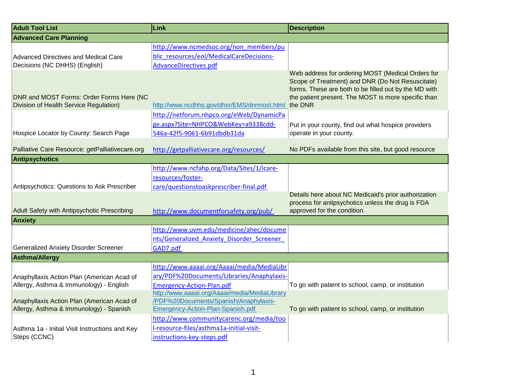| <b>Adult Tool List</b>                                                             | Link                                          | <b>Description</b>                                                                                                                                                                                                               |
|------------------------------------------------------------------------------------|-----------------------------------------------|----------------------------------------------------------------------------------------------------------------------------------------------------------------------------------------------------------------------------------|
| <b>Advanced Care Planning</b>                                                      |                                               |                                                                                                                                                                                                                                  |
|                                                                                    | http://www.ncmedsoc.org/non_members/pu        |                                                                                                                                                                                                                                  |
| <b>Advanced Directives and Medical Care</b>                                        | blic resources/eol/MedicalCareDecisions-      |                                                                                                                                                                                                                                  |
| Decisions (NC DHHS) (English)                                                      | AdvanceDirectives.pdf                         |                                                                                                                                                                                                                                  |
| DNR and MOST Forms: Order Forms Here (NC<br>Division of Health Service Regulation) | http://www.ncdhhs.gov/dhsr/EMS/dnrmost.html   | Web address for ordering MOST (Medical Orders for<br>Scope of Treatment) and DNR (Do Not Resuscitate)<br>forms. These are both to be filled out by the MD with<br>the patient present. The MOST is more specific than<br>the DNR |
|                                                                                    | http://netforum.nhpco.org/eWeb/DynamicPa      |                                                                                                                                                                                                                                  |
|                                                                                    | ge.aspx?Site=NHPCO&WebKey=a9338cdd-           | Put in your county, find out what hospice providers                                                                                                                                                                              |
| Hospice Locator by County: Search Page                                             | 546a-42f5-9061-6b91dbdb31da                   | operate in your county.                                                                                                                                                                                                          |
|                                                                                    |                                               |                                                                                                                                                                                                                                  |
| Palliative Care Resource: getPalliativecare.org                                    | http://getpalliativecare.org/resources/       | No PDFs available from this site, but good resource                                                                                                                                                                              |
| <b>Antipsychotics</b>                                                              |                                               |                                                                                                                                                                                                                                  |
|                                                                                    | http://www.ncfahp.org/Data/Sites/1/icare-     |                                                                                                                                                                                                                                  |
|                                                                                    | resources/foster-                             |                                                                                                                                                                                                                                  |
| Antipsychotics: Questions to Ask Prescriber                                        | care/questionstoaskprescriber-final.pdf       |                                                                                                                                                                                                                                  |
| Adult Safety with Antipsychotic Prescribing                                        | http://www.documentforsafety.org/pub/         | Details here about NC Medicaid's prior authorization<br>process for antipsychotics unless the drug is FDA<br>approved for the condition.                                                                                         |
| <b>Anxiety</b>                                                                     |                                               |                                                                                                                                                                                                                                  |
|                                                                                    | http://www.uvm.edu/medicine/ahec/docume       |                                                                                                                                                                                                                                  |
|                                                                                    | nts/Generalized Anxiety Disorder Screener     |                                                                                                                                                                                                                                  |
| <b>Generalized Anxiety Disorder Screener</b>                                       | GAD7.pdf                                      |                                                                                                                                                                                                                                  |
| <b>Asthma/Allergy</b>                                                              |                                               |                                                                                                                                                                                                                                  |
|                                                                                    | http://www.aaaai.org/Aaaai/media/MediaLibr    |                                                                                                                                                                                                                                  |
| Anaphyllaxis Action Plan (American Acad of                                         | ary/PDF%20Documents/Libraries/Anaphylaxis-    |                                                                                                                                                                                                                                  |
| Allergy, Asthma & Immunology) - English                                            | <b>Emergency-Action-Plan.pdf</b>              | To go with patient to school, camp, or institution                                                                                                                                                                               |
|                                                                                    | http://www.aaaai.org/Aaaai/media/MediaLibrary |                                                                                                                                                                                                                                  |
| Anaphyllaxis Action Plan (American Acad of                                         | /PDF%20Documents/Spanish/Anaphylaxis-         |                                                                                                                                                                                                                                  |
| Allergy, Asthma & Immunology) - Spanish                                            | Emergency-Action-Plan-Spanish.pdf             | To go with patient to school, camp, or institution                                                                                                                                                                               |
|                                                                                    | http://www.communitycarenc.org/media/too      |                                                                                                                                                                                                                                  |
| Asthma 1a - Initial Visit Instructions and Key                                     | I-resource-files/asthma1a-initial-visit-      |                                                                                                                                                                                                                                  |
| Steps (CCNC)                                                                       | instructions-key-steps.pdf                    |                                                                                                                                                                                                                                  |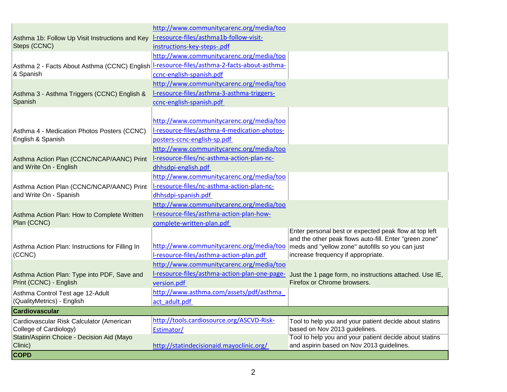|                                                                                            | http://www.communitycarenc.org/media/too     |                                                                                                       |
|--------------------------------------------------------------------------------------------|----------------------------------------------|-------------------------------------------------------------------------------------------------------|
| Asthma 1b: Follow Up Visit Instructions and Key                                            | I-resource-files/asthma1b-follow-visit-      |                                                                                                       |
| Steps (CCNC)                                                                               | instructions-key-steps-.pdf                  |                                                                                                       |
|                                                                                            | http://www.communitycarenc.org/media/too     |                                                                                                       |
| Asthma 2 - Facts About Asthma (CCNC) English L-resource-files/asthma-2-facts-about-asthma- |                                              |                                                                                                       |
| & Spanish                                                                                  | ccnc-english-spanish.pdf                     |                                                                                                       |
|                                                                                            | http://www.communitycarenc.org/media/too     |                                                                                                       |
| Asthma 3 - Asthma Triggers (CCNC) English &                                                | I-resource-files/asthma-3-asthma-triggers-   |                                                                                                       |
| Spanish                                                                                    | ccnc-english-spanish.pdf                     |                                                                                                       |
|                                                                                            |                                              |                                                                                                       |
|                                                                                            | http://www.communitycarenc.org/media/too     |                                                                                                       |
| Asthma 4 - Medication Photos Posters (CCNC)                                                | I-resource-files/asthma-4-medication-photos- |                                                                                                       |
| English & Spanish                                                                          | posters-ccnc-english-sp.pdf                  |                                                                                                       |
|                                                                                            | http://www.communitycarenc.org/media/too     |                                                                                                       |
| Asthma Action Plan (CCNC/NCAP/AANC) Print                                                  | I-resource-files/nc-asthma-action-plan-nc-   |                                                                                                       |
| and Write On - English                                                                     | dhhsdpi-english.pdf                          |                                                                                                       |
|                                                                                            | http://www.communitycarenc.org/media/too     |                                                                                                       |
| Asthma Action Plan (CCNC/NCAP/AANC) Print                                                  | I-resource-files/nc-asthma-action-plan-nc-   |                                                                                                       |
| and Write On - Spanish                                                                     | dhhsdpi-spanish.pdf                          |                                                                                                       |
|                                                                                            | http://www.communitycarenc.org/media/too     |                                                                                                       |
|                                                                                            | I-resource-files/asthma-action-plan-how-     |                                                                                                       |
| Asthma Action Plan: How to Complete Written<br>Plan (CCNC)                                 | complete-written-plan.pdf                    |                                                                                                       |
|                                                                                            |                                              | Enter personal best or expected peak flow at top left                                                 |
|                                                                                            |                                              | and the other peak flows auto-fill. Enter "green zone"                                                |
| Asthma Action Plan: Instructions for Filling In                                            | http://www.communitycarenc.org/media/too     | meds and "yellow zone" autofills so you can just                                                      |
| (CCNC)                                                                                     | I-resource-files/asthma-action-plan.pdf      | increase frequency if appropriate.                                                                    |
|                                                                                            | http://www.communitycarenc.org/media/too     |                                                                                                       |
| Asthma Action Plan: Type into PDF, Save and                                                |                                              | I-resource-files/asthma-action-plan-one-page- Just the 1 page form, no instructions attached. Use IE, |
| Print (CCNC) - English                                                                     | version.pdf                                  | Firefox or Chrome browsers.                                                                           |
| Asthma Control Test age 12-Adult                                                           | http://www.asthma.com/assets/pdf/asthma      |                                                                                                       |
| (QualityMetrics) - English                                                                 | act adult.pdf                                |                                                                                                       |
| Cardiovascular                                                                             |                                              |                                                                                                       |
| Cardiovascular Risk Calculator (American                                                   | http://tools.cardiosource.org/ASCVD-Risk-    | Tool to help you and your patient decide about statins                                                |
| College of Cardiology)                                                                     | Estimator/                                   | based on Nov 2013 guidelines.                                                                         |
| Statin/Aspirin Choice - Decision Aid (Mayo                                                 |                                              | Tool to help you and your patient decide about statins                                                |
| Clinic)                                                                                    | http://statindecisionaid.mayoclinic.org/     | and aspirin based on Nov 2013 guidelines.                                                             |
| <b>COPD</b>                                                                                |                                              |                                                                                                       |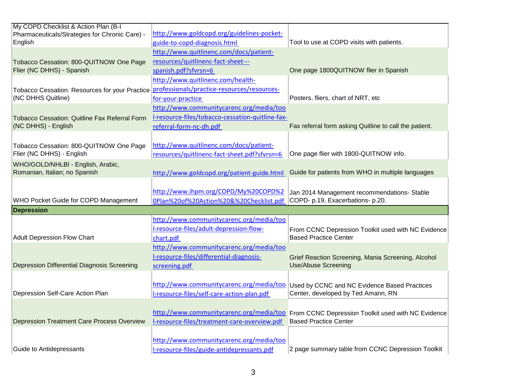| My COPD Checklist & Action Plan (B-I                 |                                                                                        |                                                                                    |
|------------------------------------------------------|----------------------------------------------------------------------------------------|------------------------------------------------------------------------------------|
| Pharmaceuticals/Strategies for Chronic Care) -       | http://www.goldcopd.org/guidelines-pocket-                                             |                                                                                    |
| English                                              | guide-to-copd-diagnosis.html                                                           | Tool to use at COPD visits with patients.                                          |
|                                                      | http://www.quitlinenc.com/docs/patient-                                                |                                                                                    |
| Tobacco Cessation: 800-QUITNOW One Page              | resources/quitlinenc-fact-sheet---                                                     |                                                                                    |
| Flier (NC DHHS) - Spanish                            | spanish.pdf?sfvrsn=6                                                                   | One page 1800QUITNOW flier in Spanish                                              |
|                                                      | http://www.quitlinenc.com/health-                                                      |                                                                                    |
| Tobacco Cessation: Resources for your Practice       | professionals/practice-resources/resources-                                            |                                                                                    |
| (NC DHHS Quitline)                                   | for-your-practice                                                                      | Posters, fliers, chart of NRT, etc                                                 |
|                                                      | http://www.communitycarenc.org/media/too                                               |                                                                                    |
| <b>Tobacco Cessation: Quitline Fax Referral Form</b> | I-resource-files/tobacco-cessation-quitline-fax-                                       |                                                                                    |
| (NC DHHS) - English                                  | referral-form-nc-dh.pdf                                                                | Fax referral form asking Quitline to call the patient.                             |
|                                                      |                                                                                        |                                                                                    |
| Tobacco Cessation: 800-QUITNOW One Page              | http://www.quitlinenc.com/docs/patient-                                                |                                                                                    |
| Flier (NC DHHS) - English                            | resources/quitlinenc-fact-sheet.pdf?sfvrsn=6                                           | One page flier with 1800-QUITNOW info.                                             |
| WHO/GOLD/NHLBI - English, Arabic,                    |                                                                                        |                                                                                    |
| Romanian, Italian; no Spanish                        | http://www.goldcopd.org/patient-guide.html                                             | Guide for patients from WHO in multiple languages                                  |
|                                                      |                                                                                        |                                                                                    |
|                                                      | http://www.ihpm.org/COPD/My%20COPD%2                                                   | Jan 2014 Management recommendations- Stable                                        |
| WHO Pocket Guide for COPD Management                 | 0Plan%20of%20Action%20&%20Checklist.pdf                                                | COPD- p.19, Exacerbations- p.20.                                                   |
| <b>Depression</b>                                    |                                                                                        |                                                                                    |
|                                                      | http://www.communitycarenc.org/media/too                                               |                                                                                    |
|                                                      | I-resource-files/adult-depression-flow-                                                | From CCNC Depression Toolkit used with NC Evidence                                 |
| <b>Adult Depression Flow Chart</b>                   | chart.pdf                                                                              | <b>Based Practice Center</b>                                                       |
|                                                      | http://www.communitycarenc.org/media/too                                               |                                                                                    |
|                                                      | I-resource-files/differential-diagnosis-                                               |                                                                                    |
| <b>Depression Differential Diagnosis Screening</b>   |                                                                                        | Grief Reaction Screening, Mania Screening, Alcohol<br><b>Use/Abuse Screening</b>   |
|                                                      | screening.pdf                                                                          |                                                                                    |
|                                                      |                                                                                        |                                                                                    |
|                                                      | http://www.communitycarenc.org/media/too                                               | Used by CCNC and NC Evidence Based Practices<br>Center, developed by Ted Amann, RN |
| Depression Self-Care Action Plan                     |                                                                                        |                                                                                    |
|                                                      | I-resource-files/self-care-action-plan.pdf                                             |                                                                                    |
|                                                      |                                                                                        |                                                                                    |
|                                                      | http://www.communitycarenc.org/media/too                                               | From CCNC Depression Toolkit used with NC Evidence                                 |
| <b>Depression Treatment Care Process Overview</b>    | I-resource-files/treatment-care-overview.pdf                                           | <b>Based Practice Center</b>                                                       |
|                                                      |                                                                                        |                                                                                    |
| Guide to Antidepressants                             | http://www.communitycarenc.org/media/too<br>I-resource-files/guide-antidepressants.pdf | 2 page summary table from CCNC Depression Toolkit                                  |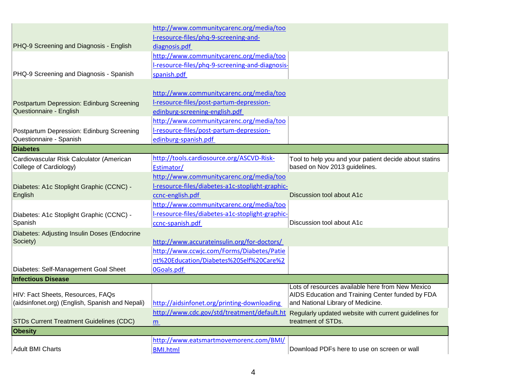|                                                 | http://www.communitycarenc.org/media/too         |                                                        |
|-------------------------------------------------|--------------------------------------------------|--------------------------------------------------------|
|                                                 | I-resource-files/phq-9-screening-and-            |                                                        |
| PHQ-9 Screening and Diagnosis - English         | diagnosis.pdf                                    |                                                        |
|                                                 | http://www.communitycarenc.org/media/too         |                                                        |
|                                                 | l-resource-files/phq-9-screening-and-diagnosis-  |                                                        |
| PHQ-9 Screening and Diagnosis - Spanish         | spanish.pdf                                      |                                                        |
|                                                 |                                                  |                                                        |
|                                                 | http://www.communitycarenc.org/media/too         |                                                        |
| Postpartum Depression: Edinburg Screening       | I-resource-files/post-partum-depression-         |                                                        |
| Questionnaire - English                         | edinburg-screening-english.pdf                   |                                                        |
|                                                 | http://www.communitycarenc.org/media/too         |                                                        |
| Postpartum Depression: Edinburg Screening       | I-resource-files/post-partum-depression-         |                                                        |
| Questionnaire - Spanish                         | edinburg-spanish.pdf                             |                                                        |
| <b>Diabetes</b>                                 |                                                  |                                                        |
| Cardiovascular Risk Calculator (American        | http://tools.cardiosource.org/ASCVD-Risk-        | Tool to help you and your patient decide about statins |
| College of Cardiology)                          | Estimator/                                       | based on Nov 2013 guidelines.                          |
|                                                 | http://www.communitycarenc.org/media/too         |                                                        |
| Diabetes: A1c Stoplight Graphic (CCNC) -        | I-resource-files/diabetes-a1c-stoplight-graphic- |                                                        |
| English                                         | ccnc-english.pdf                                 | Discussion tool about A1c                              |
|                                                 | http://www.communitycarenc.org/media/too         |                                                        |
| Diabetes: A1c Stoplight Graphic (CCNC) -        | l-resource-files/diabetes-a1c-stoplight-graphic- |                                                        |
| Spanish                                         | ccnc-spanish.pdf                                 | Discussion tool about A1c                              |
| Diabetes: Adjusting Insulin Doses (Endocrine    |                                                  |                                                        |
| Society)                                        | http://www.accurateinsulin.org/for-doctors/      |                                                        |
|                                                 | http://www.ccwjc.com/Forms/Diabetes/Patie        |                                                        |
|                                                 | nt%20Education/Diabetes%20Self%20Care%2          |                                                        |
| Diabetes: Self-Management Goal Sheet            | <b>OGoals.pdf</b>                                |                                                        |
| <b>Infectious Disease</b>                       |                                                  | Lots of resources available here from New Mexico       |
| HIV: Fact Sheets, Resources, FAQs               |                                                  | AIDS Education and Training Center funded by FDA       |
| (aidsinfonet.org) (English, Spanish and Nepali) | http://aidsinfonet.org/printing-downloading      | and National Library of Medicine.                      |
|                                                 | http://www.cdc.gov/std/treatment/default.ht      | Regularly updated website with current guidelines for  |
| <b>STDs Current Treatment Guidelines (CDC)</b>  | m                                                | treatment of STDs.                                     |
| <b>Obesity</b>                                  |                                                  |                                                        |
|                                                 | http://www.eatsmartmovemorenc.com/BMI/           |                                                        |
| <b>Adult BMI Charts</b>                         | <b>BMI.html</b>                                  | Download PDFs here to use on screen or wall            |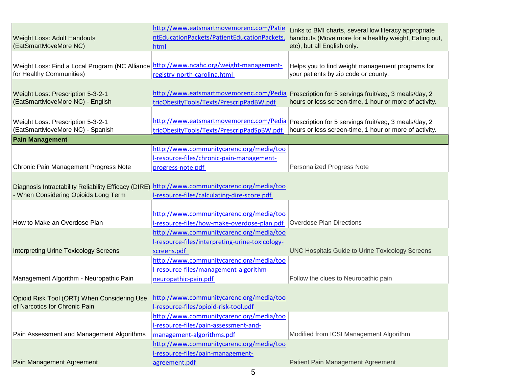| <b>Weight Loss: Adult Handouts</b><br>(EatSmartMoveMore NC)                                                          | http://www.eatsmartmovemorenc.com/Patie<br>ntEducationPackets/PatientEducationPackets.<br>html | Links to BMI charts, several low literacy appropriate<br>handouts (Move more for a healthy weight, Eating out,<br>etc), but all English only. |
|----------------------------------------------------------------------------------------------------------------------|------------------------------------------------------------------------------------------------|-----------------------------------------------------------------------------------------------------------------------------------------------|
|                                                                                                                      |                                                                                                |                                                                                                                                               |
| Weight Loss: Find a Local Program (NC Alliance   http://www.ncahc.org/weight-management-<br>for Healthy Communities) | registry-north-carolina.html                                                                   | Helps you to find weight management programs for<br>your patients by zip code or county.                                                      |
|                                                                                                                      |                                                                                                |                                                                                                                                               |
| Weight Loss: Prescription 5-3-2-1<br>(EatSmartMoveMore NC) - English                                                 | http://www.eatsmartmovemorenc.com/Pedia<br>tricObesityTools/Texts/PrescripPadBW.pdf            | Prescription for 5 servings fruit/veg, 3 meals/day, 2<br>hours or less screen-time, 1 hour or more of activity.                               |
|                                                                                                                      |                                                                                                |                                                                                                                                               |
| Weight Loss: Prescription 5-3-2-1                                                                                    | http://www.eatsmartmovemorenc.com/Pedia                                                        | Prescription for 5 servings fruit/veg, 3 meals/day, 2                                                                                         |
| (EatSmartMoveMore NC) - Spanish                                                                                      | tricObesityTools/Texts/PrescripPadSpBW.pdf                                                     | hours or less screen-time, 1 hour or more of activity.                                                                                        |
| <b>Pain Management</b>                                                                                               |                                                                                                |                                                                                                                                               |
|                                                                                                                      | http://www.communitycarenc.org/media/too                                                       |                                                                                                                                               |
|                                                                                                                      |                                                                                                |                                                                                                                                               |
|                                                                                                                      | I-resource-files/chronic-pain-management-                                                      |                                                                                                                                               |
| Chronic Pain Management Progress Note                                                                                | progress-note.pdf                                                                              | Personalized Progress Note                                                                                                                    |
|                                                                                                                      |                                                                                                |                                                                                                                                               |
| Diagnosis Intractability Reliability Efficacy (DIRE)                                                                 | http://www.communitycarenc.org/media/too                                                       |                                                                                                                                               |
| - When Considering Opioids Long Term                                                                                 | I-resource-files/calculating-dire-score.pdf                                                    |                                                                                                                                               |
|                                                                                                                      |                                                                                                |                                                                                                                                               |
|                                                                                                                      |                                                                                                |                                                                                                                                               |
|                                                                                                                      | http://www.communitycarenc.org/media/too                                                       |                                                                                                                                               |
| How to Make an Overdose Plan                                                                                         | I-resource-files/how-make-overdose-plan.pdf                                                    | Overdose Plan Directions                                                                                                                      |
|                                                                                                                      | http://www.communitycarenc.org/media/too                                                       |                                                                                                                                               |
|                                                                                                                      | I-resource-files/interpreting-urine-toxicology-                                                |                                                                                                                                               |
| <b>Interpreting Urine Toxicology Screens</b>                                                                         | screens.pdf                                                                                    | <b>UNC Hospitals Guide to Urine Toxicology Screens</b>                                                                                        |
|                                                                                                                      | http://www.communitycarenc.org/media/too                                                       |                                                                                                                                               |
|                                                                                                                      | I-resource-files/management-algorithm-                                                         |                                                                                                                                               |
| Management Algorithm - Neuropathic Pain                                                                              |                                                                                                | Follow the clues to Neuropathic pain                                                                                                          |
|                                                                                                                      | neuropathic-pain.pdf                                                                           |                                                                                                                                               |
|                                                                                                                      |                                                                                                |                                                                                                                                               |
| Opioid Risk Tool (ORT) When Considering Use                                                                          | http://www.communitycarenc.org/media/too                                                       |                                                                                                                                               |
| of Narcotics for Chronic Pain                                                                                        | I-resource-files/opioid-risk-tool.pdf                                                          |                                                                                                                                               |
|                                                                                                                      | http://www.communitycarenc.org/media/too                                                       |                                                                                                                                               |
|                                                                                                                      | I-resource-files/pain-assessment-and-                                                          |                                                                                                                                               |
| Pain Assessment and Management Algorithms                                                                            | management-algorithms.pdf                                                                      | Modified from ICSI Management Algorithm                                                                                                       |
|                                                                                                                      | http://www.communitycarenc.org/media/too                                                       |                                                                                                                                               |
|                                                                                                                      | I-resource-files/pain-management-                                                              |                                                                                                                                               |
|                                                                                                                      |                                                                                                |                                                                                                                                               |
| Pain Management Agreement                                                                                            | agreement.pdf                                                                                  | Patient Pain Management Agreement                                                                                                             |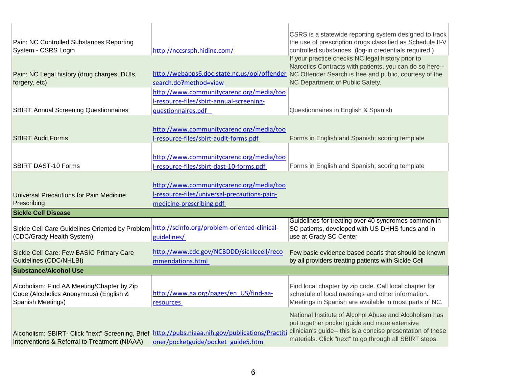| Pain: NC Controlled Substances Reporting                                                                                                         |                                                                                                            | CSRS is a statewide reporting system designed to track<br>the use of prescription drugs classified as Schedule II-V                                                                                                                                    |
|--------------------------------------------------------------------------------------------------------------------------------------------------|------------------------------------------------------------------------------------------------------------|--------------------------------------------------------------------------------------------------------------------------------------------------------------------------------------------------------------------------------------------------------|
| System - CSRS Login                                                                                                                              | http://nccsrsph.hidinc.com/                                                                                | controlled substances. (log-in credentials required.)                                                                                                                                                                                                  |
| Pain: NC Legal history (drug charges, DUIs,<br>forgery, etc)                                                                                     | search.do?method=view                                                                                      | If your practice checks NC legal history prior to<br>Narcotics Contracts with patients, you can do so here--<br>http://webapps6.doc.state.nc.us/opi/offender_NC Offender Search is free and public, courtesy of the<br>NC Department of Public Safety. |
| <b>SBIRT Annual Screening Questionnaires</b>                                                                                                     | http://www.communitycarenc.org/media/too<br>I-resource-files/sbirt-annual-screening-<br>questionnaires.pdf | Questionnaires in English & Spanish                                                                                                                                                                                                                    |
|                                                                                                                                                  |                                                                                                            |                                                                                                                                                                                                                                                        |
| <b>SBIRT Audit Forms</b>                                                                                                                         | http://www.communitycarenc.org/media/too<br>I-resource-files/sbirt-audit-forms.pdf                         | Forms in English and Spanish; scoring template                                                                                                                                                                                                         |
|                                                                                                                                                  |                                                                                                            |                                                                                                                                                                                                                                                        |
| <b>SBIRT DAST-10 Forms</b>                                                                                                                       | http://www.communitycarenc.org/media/too<br>I-resource-files/sbirt-dast-10-forms.pdf                       | Forms in English and Spanish; scoring template                                                                                                                                                                                                         |
|                                                                                                                                                  |                                                                                                            |                                                                                                                                                                                                                                                        |
|                                                                                                                                                  | http://www.communitycarenc.org/media/too                                                                   |                                                                                                                                                                                                                                                        |
| <b>Universal Precautions for Pain Medicine</b>                                                                                                   | I-resource-files/universal-precautions-pain-                                                               |                                                                                                                                                                                                                                                        |
| Prescribing<br><b>Sickle Cell Disease</b>                                                                                                        | medicine-prescribing.pdf                                                                                   |                                                                                                                                                                                                                                                        |
|                                                                                                                                                  |                                                                                                            | Guidelines for treating over 40 syndromes common in                                                                                                                                                                                                    |
| Sickle Cell Care Guidelines Oriented by Problem http://scinfo.org/problem-oriented-clinical-<br>(CDC/Grady Health System)                        | guidelines/                                                                                                | SC patients, developed with US DHHS funds and in<br>use at Grady SC Center                                                                                                                                                                             |
| Sickle Cell Care: Few BASIC Primary Care<br>Guidelines (CDC/NHLBI)                                                                               | http://www.cdc.gov/NCBDDD/sicklecell/reco<br>mmendations.html                                              | Few basic evidence based pearls that should be known<br>by all providers treating patients with Sickle Cell                                                                                                                                            |
| <b>Substance/Alcohol Use</b>                                                                                                                     |                                                                                                            |                                                                                                                                                                                                                                                        |
| Alcoholism: Find AA Meeting/Chapter by Zip<br>Code (Alcoholics Anonymous) (English &<br>Spanish Meetings)                                        | http://www.aa.org/pages/en US/find-aa-<br><b>resources</b>                                                 | Find local chapter by zip code. Call local chapter for<br>schedule of local meetings and other information.<br>Meetings in Spanish are available in most parts of NC.                                                                                  |
| Alcoholism: SBIRT- Click "next" Screening, Brief http://pubs.niaaa.nih.gov/publications/Practit<br>Interventions & Referral to Treatment (NIAAA) | oner/pocketguide/pocket_guide5.htm                                                                         | National Institute of Alcohol Abuse and Alcoholism has<br>put together pocket guide and more extensive<br>clinician's guide-- this is a concise presentation of these<br>materials. Click "next" to go through all SBIRT steps.                        |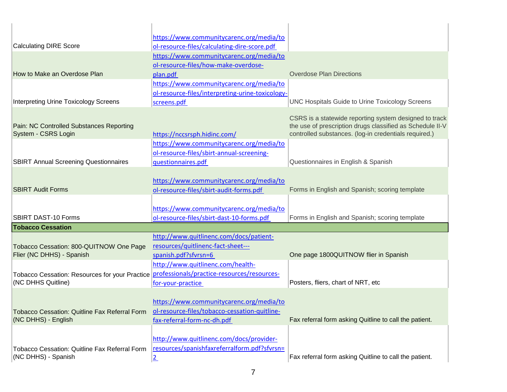|                                                                                            | https://www.communitycarenc.org/media/to         |                                                           |
|--------------------------------------------------------------------------------------------|--------------------------------------------------|-----------------------------------------------------------|
| <b>Calculating DIRE Score</b>                                                              | ol-resource-files/calculating-dire-score.pdf     |                                                           |
|                                                                                            | https://www.communitycarenc.org/media/to         |                                                           |
|                                                                                            | ol-resource-files/how-make-overdose-             |                                                           |
| How to Make an Overdose Plan                                                               | plan.pdf                                         | <b>Overdose Plan Directions</b>                           |
|                                                                                            | https://www.communitycarenc.org/media/to         |                                                           |
|                                                                                            | ol-resource-files/interpreting-urine-toxicology- |                                                           |
| Interpreting Urine Toxicology Screens                                                      | screens.pdf                                      | <b>UNC Hospitals Guide to Urine Toxicology Screens</b>    |
|                                                                                            |                                                  |                                                           |
|                                                                                            |                                                  | CSRS is a statewide reporting system designed to track    |
| Pain: NC Controlled Substances Reporting                                                   |                                                  | the use of prescription drugs classified as Schedule II-V |
| System - CSRS Login                                                                        | https://nccsrsph.hidinc.com/                     | controlled substances. (log-in credentials required.)     |
|                                                                                            | https://www.communitycarenc.org/media/to         |                                                           |
|                                                                                            | ol-resource-files/sbirt-annual-screening-        |                                                           |
| <b>SBIRT Annual Screening Questionnaires</b>                                               | questionnaires.pdf                               | Questionnaires in English & Spanish                       |
|                                                                                            |                                                  |                                                           |
|                                                                                            | https://www.communitycarenc.org/media/to         |                                                           |
| <b>SBIRT Audit Forms</b>                                                                   | ol-resource-files/sbirt-audit-forms.pdf          | Forms in English and Spanish; scoring template            |
|                                                                                            |                                                  |                                                           |
|                                                                                            | https://www.communitycarenc.org/media/to         |                                                           |
| <b>SBIRT DAST-10 Forms</b>                                                                 | ol-resource-files/sbirt-dast-10-forms.pdf        | Forms in English and Spanish; scoring template            |
| <b>Tobacco Cessation</b>                                                                   |                                                  |                                                           |
|                                                                                            | http://www.quitlinenc.com/docs/patient-          |                                                           |
| Tobacco Cessation: 800-QUITNOW One Page                                                    | resources/quitlinenc-fact-sheet---               |                                                           |
| Flier (NC DHHS) - Spanish                                                                  | spanish.pdf?sfvrsn=6                             | One page 1800QUITNOW flier in Spanish                     |
|                                                                                            | http://www.quitlinenc.com/health-                |                                                           |
| Tobacco Cessation: Resources for your Practice professionals/practice-resources/resources- |                                                  |                                                           |
| (NC DHHS Quitline)                                                                         | for-your-practice                                | Posters, fliers, chart of NRT, etc                        |
|                                                                                            |                                                  |                                                           |
|                                                                                            | https://www.communitycarenc.org/media/to         |                                                           |
| Tobacco Cessation: Quitline Fax Referral Form                                              | ol-resource-files/tobacco-cessation-quitline-    |                                                           |
| (NC DHHS) - English                                                                        | fax-referral-form-nc-dh.pdf                      | Fax referral form asking Quitline to call the patient.    |
|                                                                                            |                                                  |                                                           |
|                                                                                            | http://www.quitlinenc.com/docs/provider-         |                                                           |
| Tobacco Cessation: Quitline Fax Referral Form                                              | resources/spanishfaxreferralform.pdf?sfvrsn=     |                                                           |
| (NC DHHS) - Spanish                                                                        |                                                  | Fax referral form asking Quitline to call the patient.    |
|                                                                                            | $\overline{2}$                                   |                                                           |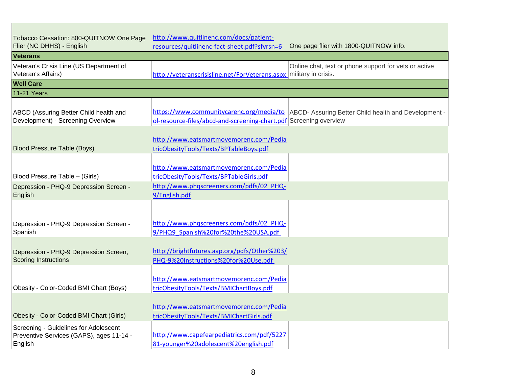| Tobacco Cessation: 800-QUITNOW One Page<br>Flier (NC DHHS) - English                         | http://www.quitlinenc.com/docs/patient-<br>resources/quitlinenc-fact-sheet.pdf?sfvrsn=6                                        | One page flier with 1800-QUITNOW info.                                                          |
|----------------------------------------------------------------------------------------------|--------------------------------------------------------------------------------------------------------------------------------|-------------------------------------------------------------------------------------------------|
| <b>Veterans</b>                                                                              |                                                                                                                                |                                                                                                 |
| Veteran's Crisis Line (US Department of<br>Veteran's Affairs)                                | http://veteranscrisisline.net/ForVeterans.aspx military in crisis.                                                             | Online chat, text or phone support for vets or active                                           |
| <b>Well Care</b>                                                                             |                                                                                                                                |                                                                                                 |
| <b>11-21 Years</b>                                                                           |                                                                                                                                |                                                                                                 |
| ABCD (Assuring Better Child health and<br>Development) - Screening Overview                  | ol-resource-files/abcd-and-screening-chart.pdf Screening overview                                                              | https://www.communitycarenc.org/media/to   ABCD- Assuring Better Child health and Development - |
| <b>Blood Pressure Table (Boys)</b>                                                           | http://www.eatsmartmovemorenc.com/Pedia<br>tricObesityTools/Texts/BPTableBoys.pdf                                              |                                                                                                 |
| Blood Pressure Table - (Girls)                                                               | http://www.eatsmartmovemorenc.com/Pedia<br>tricObesityTools/Texts/BPTableGirls.pdf<br>http://www.phqscreeners.com/pdfs/02_PHQ- |                                                                                                 |
| Depression - PHQ-9 Depression Screen -<br>English                                            | 9/English.pdf                                                                                                                  |                                                                                                 |
| Depression - PHQ-9 Depression Screen -<br>Spanish                                            | http://www.phqscreeners.com/pdfs/02_PHQ-<br>9/PHQ9 Spanish%20for%20the%20USA.pdf                                               |                                                                                                 |
| Depression - PHQ-9 Depression Screen,<br><b>Scoring Instructions</b>                         | http://brightfutures.aap.org/pdfs/Other%203/<br>PHQ-9%20Instructions%20for%20Use.pdf                                           |                                                                                                 |
| Obesity - Color-Coded BMI Chart (Boys)                                                       | http://www.eatsmartmovemorenc.com/Pedia<br>tricObesityTools/Texts/BMIChartBoys.pdf                                             |                                                                                                 |
| Obesity - Color-Coded BMI Chart (Girls)                                                      | http://www.eatsmartmovemorenc.com/Pedia<br>tricObesityTools/Texts/BMIChartGirls.pdf                                            |                                                                                                 |
| Screening - Guidelines for Adolescent<br>Preventive Services (GAPS), ages 11-14 -<br>English | http://www.capefearpediatrics.com/pdf/5227<br>81-younger%20adolescent%20english.pdf                                            |                                                                                                 |

г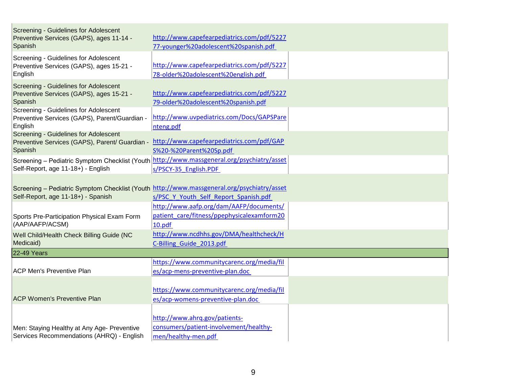| Screening - Guidelines for Adolescent<br>Preventive Services (GAPS), ages 11-14 -<br>Spanish                                                 | http://www.capefearpediatrics.com/pdf/5227<br>77-younger%20adolescent%20spanish.pdf             |  |
|----------------------------------------------------------------------------------------------------------------------------------------------|-------------------------------------------------------------------------------------------------|--|
| Screening - Guidelines for Adolescent<br>Preventive Services (GAPS), ages 15-21 -<br>English                                                 | http://www.capefearpediatrics.com/pdf/5227<br>78-older%20adolescent%20english.pdf               |  |
| Screening - Guidelines for Adolescent<br>Preventive Services (GAPS), ages 15-21 -<br>Spanish                                                 | http://www.capefearpediatrics.com/pdf/5227<br>79-older%20adolescent%20spanish.pdf               |  |
| Screening - Guidelines for Adolescent<br>Preventive Services (GAPS), Parent/Guardian -<br>English                                            | http://www.uvpediatrics.com/Docs/GAPSPare<br>nteng.pdf                                          |  |
| Screening - Guidelines for Adolescent<br>Preventive Services (GAPS), Parent/ Guardian - http://www.capefearpediatrics.com/pdf/GAP<br>Spanish | S%20-%20Parent%20Sp.pdf                                                                         |  |
| Screening - Pediatric Symptom Checklist (Youth http://www.massgeneral.org/psychiatry/asset<br>Self-Report, age 11-18+) - English             | s/PSCY-35_English.PDF                                                                           |  |
| Screening - Pediatric Symptom Checklist (Youth http://www.massgeneral.org/psychiatry/asset<br>Self-Report, age 11-18+) - Spanish             | s/PSC Y Youth Self Report Spanish.pdf                                                           |  |
| Sports Pre-Participation Physical Exam Form<br>(AAP/AAFP/ACSM)                                                                               | http://www.aafp.org/dam/AAFP/documents/<br>patient care/fitness/ppephysicalexamform20<br>10.pdf |  |
| Well Child/Health Check Billing Guide (NC<br>Medicaid)                                                                                       | http://www.ncdhhs.gov/DMA/healthcheck/H<br>C-Billing Guide 2013.pdf                             |  |
| 22-49 Years                                                                                                                                  |                                                                                                 |  |
| <b>ACP Men's Preventive Plan</b>                                                                                                             | https://www.communitycarenc.org/media/fil<br>es/acp-mens-preventive-plan.doc                    |  |
| <b>ACP Women's Preventive Plan</b>                                                                                                           | https://www.communitycarenc.org/media/fil<br>es/acp-womens-preventive-plan.doc                  |  |
| Men: Staying Healthy at Any Age- Preventive<br>Services Recommendations (AHRQ) - English                                                     | http://www.ahrq.gov/patients-<br>consumers/patient-involvement/healthy-<br>men/healthy-men.pdf  |  |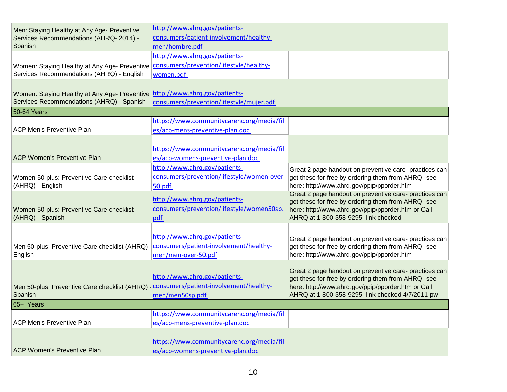| Men: Staying Healthy at Any Age- Preventive<br>Services Recommendations (AHRQ-2014) -<br>Spanish                                     | http://www.ahrq.gov/patients-<br>consumers/patient-involvement/healthy-<br>men/hombre.pdf       |                                                                                                                                                                                                                        |
|--------------------------------------------------------------------------------------------------------------------------------------|-------------------------------------------------------------------------------------------------|------------------------------------------------------------------------------------------------------------------------------------------------------------------------------------------------------------------------|
| Women: Staying Healthy at Any Age- Preventive   consumers/prevention/lifestyle/healthy-<br>Services Recommendations (AHRQ) - English | http://www.ahrq.gov/patients-<br>women.pdf                                                      |                                                                                                                                                                                                                        |
| Women: Staying Healthy at Any Age- Preventive http://www.ahrq.gov/patients-<br>Services Recommendations (AHRQ) - Spanish             | consumers/prevention/lifestyle/mujer.pdf                                                        |                                                                                                                                                                                                                        |
| 50-64 Years                                                                                                                          |                                                                                                 |                                                                                                                                                                                                                        |
| <b>ACP Men's Preventive Plan</b>                                                                                                     | https://www.communitycarenc.org/media/fil<br>es/acp-mens-preventive-plan.doc                    |                                                                                                                                                                                                                        |
| <b>ACP Women's Preventive Plan</b>                                                                                                   | https://www.communitycarenc.org/media/fil<br>es/acp-womens-preventive-plan.doc                  |                                                                                                                                                                                                                        |
| Women 50-plus: Preventive Care checklist<br>(AHRQ) - English                                                                         | http://www.ahrq.gov/patients-<br>consumers/prevention/lifestyle/women-over-<br>50.pdf           | Great 2 page handout on preventive care- practices can<br>get these for free by ordering them from AHRQ- see<br>here: http://www.ahrq.gov/ppip/pporder.htm                                                             |
| Women 50-plus: Preventive Care checklist<br>(AHRQ) - Spanish                                                                         | http://www.ahrq.gov/patients-<br>consumers/prevention/lifestyle/women50sp.<br>pdf               | Great 2 page handout on preventive care- practices can<br>get these for free by ordering them from AHRQ- see<br>here: http://www.ahrq.gov/ppip/pporder.htm or Call<br>AHRQ at 1-800-358-9295- link checked             |
| Men 50-plus: Preventive Care checklist (AHRQ)<br>English                                                                             | http://www.ahrq.gov/patients-<br> consumers/patient-involvement/healthy-<br>men/men-over-50.pdf | Great 2 page handout on preventive care- practices can<br>get these for free by ordering them from AHRQ- see<br>here: http://www.ahrq.gov/ppip/pporder.htm                                                             |
| Men 50-plus: Preventive Care checklist (AHRQ) - consumers/patient-involvement/healthy-<br>Spanish                                    | http://www.ahrq.gov/patients-<br>men/men50sp.pdf                                                | Great 2 page handout on preventive care- practices can<br>get these for free by ordering them from AHRQ- see<br>here: http://www.ahrq.gov/ppip/pporder.htm or Call<br>AHRQ at 1-800-358-9295- link checked 4/7/2011-pw |
| 65+ Years                                                                                                                            |                                                                                                 |                                                                                                                                                                                                                        |
| <b>ACP Men's Preventive Plan</b>                                                                                                     | https://www.communitycarenc.org/media/fil<br>es/acp-mens-preventive-plan.doc                    |                                                                                                                                                                                                                        |
| <b>ACP Women's Preventive Plan</b>                                                                                                   | https://www.communitycarenc.org/media/fil<br>es/acp-womens-preventive-plan.doc                  |                                                                                                                                                                                                                        |